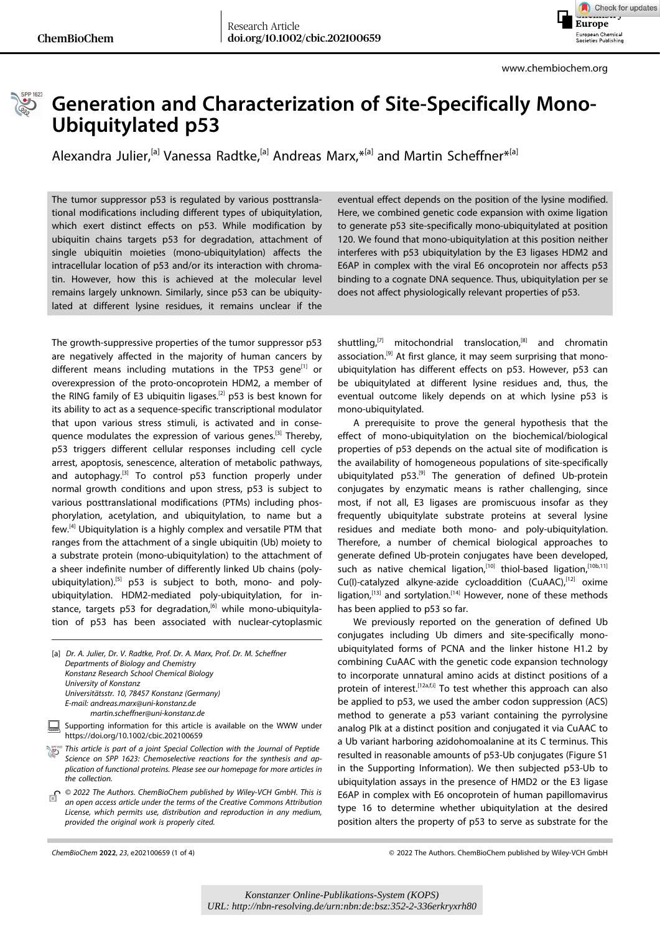

www.chembiochem.org



## **Generation and Characterization of Site-Specifically Mono-Ubiquitylated p53**

Alexandra Julier,<sup>[a]</sup> Vanessa Radtke,<sup>[a]</sup> [Andreas](http://orcid.org/0000-0002-6471-3689) Marx,<sup>\*[a]</sup> and Martin [Scheffner](http://orcid.org/0000-0003-2229-0128)<sup>\*[a]</sup>

The tumor suppressor p53 is regulated by various posttranslational modifications including different types of ubiquitylation, which exert distinct effects on p53. While modification by ubiquitin chains targets p53 for degradation, attachment of single ubiquitin moieties (mono-ubiquitylation) affects the intracellular location of p53 and/or its interaction with chromatin. However, how this is achieved at the molecular level remains largely unknown. Similarly, since p53 can be ubiquitylated at different lysine residues, it remains unclear if the

The growth-suppressive properties of the tumor suppressor p53 are negatively affected in the majority of human cancers by different means including mutations in the TP53 gene $^{[1]}$  or overexpression of the proto-oncoprotein HDM2, a member of the RING family of E3 ubiquitin ligases.<sup>[2]</sup> p53 is best known for its ability to act as a sequence-specific transcriptional modulator that upon various stress stimuli, is activated and in consequence modulates the expression of various genes.<sup>[3]</sup> Thereby, p53 triggers different cellular responses including cell cycle arrest, apoptosis, senescence, alteration of metabolic pathways, and autophagy.<sup>[3]</sup> To control  $p53$  function properly under normal growth conditions and upon stress, p53 is subject to various posttranslational modifications (PTMs) including phosphorylation, acetylation, and ubiquitylation, to name but a few.[4] Ubiquitylation is a highly complex and versatile PTM that ranges from the attachment of a single ubiquitin (Ub) moiety to a substrate protein (mono-ubiquitylation) to the attachment of a sheer indefinite number of differently linked Ub chains (polyubiquitylation).<sup>[5]</sup> p53 is subject to both, mono- and polyubiquitylation. HDM2-mediated poly-ubiquitylation, for instance, targets p53 for degradation,<sup>[6]</sup> while mono-ubiquitylation of p53 has been associated with nuclear-cytoplasmic

| [a] Dr. A. Julier, Dr. V. Radtke, Prof. Dr. A. Marx, Prof. Dr. M. Scheffner |
|-----------------------------------------------------------------------------|
| Departments of Biology and Chemistry                                        |
| Konstanz Research School Chemical Biology                                   |
| University of Konstanz                                                      |
| Universitätsstr. 10, 78457 Konstanz (Germany)                               |
| E-mail: andreas.marx@uni-konstanz.de                                        |
| martin.scheffner@uni-konstanz.de                                            |
|                                                                             |

- Supporting information for this article is available on the WWW under 鷐 <https://doi.org/10.1002/cbic.202100659>
- *This article is part of a joint Special Collection with the Journal of Peptide Science on SPP 1623: Chemoselective reactions for the synthesis and application of functional proteins. Please see our [homepage](https://onlinelibrary.wiley.com/journal/14397633) for more articles in the collection.*
- *© 2022 The Authors. ChemBioChem published by Wiley-VCH GmbH. This is* ъf *an open access article under the terms of the Creative Commons Attribution License, which permits use, distribution and reproduction in any medium, provided the original work is properly cited.*

eventual effect depends on the position of the lysine modified. Here, we combined genetic code expansion with oxime ligation to generate p53 site-specifically mono-ubiquitylated at position 120. We found that mono-ubiquitylation at this position neither interferes with p53 ubiquitylation by the E3 ligases HDM2 and E6AP in complex with the viral E6 oncoprotein nor affects p53 binding to a cognate DNA sequence. Thus, ubiquitylation per se does not affect physiologically relevant properties of p53.

shuttling,<sup>[7]</sup> mitochondrial translocation,<sup>[8]</sup> and chromatin association.<sup>[9]</sup> At first glance, it may seem surprising that monoubiquitylation has different effects on p53. However, p53 can be ubiquitylated at different lysine residues and, thus, the eventual outcome likely depends on at which lysine p53 is mono-ubiquitylated.

A prerequisite to prove the general hypothesis that the effect of mono-ubiquitylation on the biochemical/biological properties of p53 depends on the actual site of modification is the availability of homogeneous populations of site-specifically ubiquitylated  $p53$ <sup>[9]</sup> The generation of defined Ub-protein conjugates by enzymatic means is rather challenging, since most, if not all, E3 ligases are promiscuous insofar as they frequently ubiquitylate substrate proteins at several lysine residues and mediate both mono- and poly-ubiquitylation. Therefore, a number of chemical biological approaches to generate defined Ub-protein conjugates have been developed, such as native chemical ligation,<sup>[10]</sup> thiol-based ligation,<sup>[10b,11]</sup>  $Cu(1)$ -catalyzed alkyne-azide cycloaddition  $(CuAAC)$ ,  $[12]$  oxime ligation,<sup>[13]</sup> and sortylation.<sup>[14]</sup> However, none of these methods has been applied to p53 so far.

We previously reported on the generation of defined Ub conjugates including Ub dimers and site-specifically monoubiquitylated forms of PCNA and the linker histone H1.2 by combining CuAAC with the genetic code expansion technology to incorporate unnatural amino acids at distinct positions of a protein of interest.<sup>[12a,f,i]</sup> To test whether this approach can also be applied to p53, we used the amber codon suppression (ACS) method to generate a p53 variant containing the pyrrolysine analog Plk at a distinct position and conjugated it via CuAAC to a Ub variant harboring azidohomoalanine at its C terminus. This resulted in reasonable amounts of p53-Ub conjugates (Figure S1 in the Supporting Information). We then subjected p53-Ub to ubiquitylation assays in the presence of HMD2 or the E3 ligase E6AP in complex with E6 oncoprotein of human papillomavirus type 16 to determine whether ubiquitylation at the desired position alters the property of p53 to serve as substrate for the

*ChemBioChem* **2022**, *23*, e202100659 (1 of 4) © 2022 The Authors. ChemBioChem published by Wiley-VCH GmbH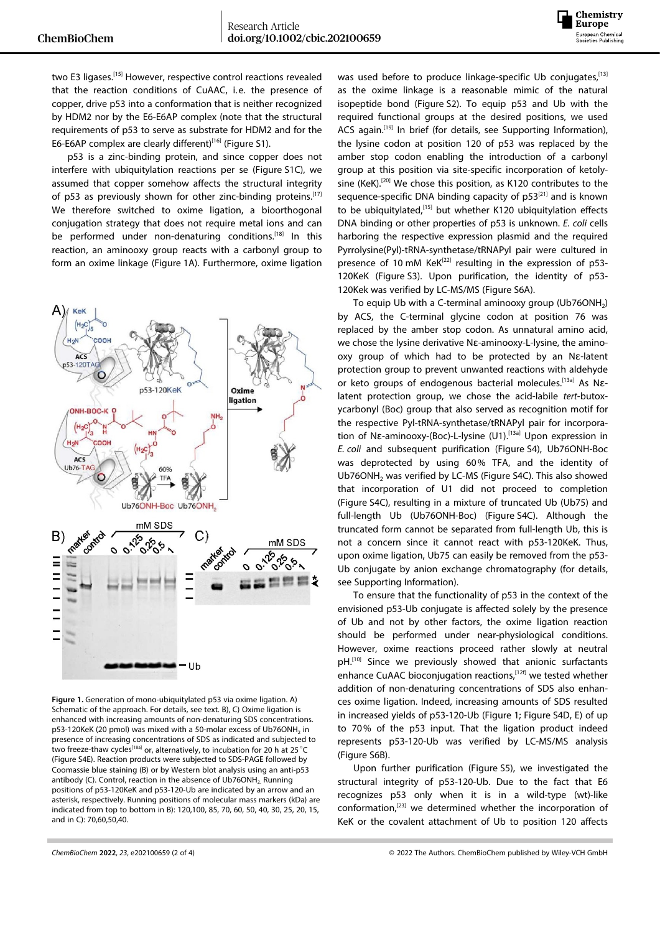

two E3 ligases.<sup>[15]</sup> However, respective control reactions revealed that the reaction conditions of CuAAC, i.e. the presence of copper, drive p53 into a conformation that is neither recognized by HDM2 nor by the E6-E6AP complex (note that the structural requirements of p53 to serve as substrate for HDM2 and for the E6-E6AP complex are clearly different)<sup>[16]</sup> (Figure S1).

p53 is a zinc-binding protein, and since copper does not interfere with ubiquitylation reactions per se (Figure S1C), we assumed that copper somehow affects the structural integrity of p53 as previously shown for other zinc-binding proteins.[17] We therefore switched to oxime ligation, a bioorthogonal conjugation strategy that does not require metal ions and can be performed under non-denaturing conditions.<sup>[18]</sup> In this reaction, an aminooxy group reacts with a carbonyl group to form an oxime linkage (Figure 1A). Furthermore, oxime ligation



**Figure 1.** Generation of mono-ubiquitylated p53 via oxime ligation. A) Schematic of the approach. For details, see text. B), C) Oxime ligation is enhanced with increasing amounts of non-denaturing SDS concentrations. p53-120KeK (20 pmol) was mixed with a 50-molar excess of Ub76ONH<sub>2</sub> in presence of increasing concentrations of SDS as indicated and subjected to two freeze-thaw cycles<sup>[18a]</sup> or, alternatively, to incubation for 20 h at 25 °C (Figure S4E). Reaction products were subjected to SDS-PAGE followed by Coomassie blue staining (B) or by Western blot analysis using an anti-p53 antibody (C). Control, reaction in the absence of Ub76ONH<sub>2</sub> Running positions of p53-120KeK and p53-120-Ub are indicated by an arrow and an asterisk, respectively. Running positions of molecular mass markers (kDa) are indicated from top to bottom in B): 120,100, 85, 70, 60, 50, 40, 30, 25, 20, 15, and in C): 70,60,50,40.

was used before to produce linkage-specific Ub conjugates, [13] as the oxime linkage is a reasonable mimic of the natural isopeptide bond (Figure S2). To equip p53 and Ub with the required functional groups at the desired positions, we used ACS again.<sup>[19]</sup> In brief (for details, see Supporting Information), the lysine codon at position 120 of p53 was replaced by the amber stop codon enabling the introduction of a carbonyl group at this position via site-specific incorporation of ketolysine (KeK).<sup>[20]</sup> We chose this position, as K120 contributes to the sequence-specific DNA binding capacity of  $p53^{[21]}$  and is known to be ubiquitylated,<sup>[15]</sup> but whether K120 ubiquitylation effects DNA binding or other properties of p53 is unknown. *E. coli* cells harboring the respective expression plasmid and the required Pyrrolysine(Pyl)-tRNA-synthetase/tRNAPyl pair were cultured in presence of 10 mM  $KeK<sup>[22]</sup>$  resulting in the expression of p53-120KeK (Figure S3). Upon purification, the identity of p53- 120Kek was verified by LC-MS/MS (Figure S6A).

To equip Ub with a C-terminal aminooxy group (Ub76ONH<sub>2</sub>) by ACS, the C-terminal glycine codon at position 76 was replaced by the amber stop codon. As unnatural amino acid, we chose the lysine derivative Nɛ-aminooxy-L-lysine, the aminooxy group of which had to be protected by an Nɛ-latent protection group to prevent unwanted reactions with aldehyde or keto groups of endogenous bacterial molecules.<sup>[13a]</sup> As NElatent protection group, we chose the acid-labile *tert*-butoxycarbonyl (Boc) group that also served as recognition motif for the respective Pyl-tRNA-synthetase/tRNAPyl pair for incorporation of Nɛ-aminooxy-(Boc)-L-lysine (U1).<sup>[13a]</sup> Upon expression in *E. coli* and subsequent purification (Figure S4), Ub76ONH-Boc was deprotected by using 60% TFA, and the identity of Ub76ONH<sub>2</sub> was verified by LC-MS (Figure S4C). This also showed that incorporation of U1 did not proceed to completion (Figure S4C), resulting in a mixture of truncated Ub (Ub75) and full-length Ub (Ub76ONH-Boc) (Figure S4C). Although the truncated form cannot be separated from full-length Ub, this is not a concern since it cannot react with p53-120KeK. Thus, upon oxime ligation, Ub75 can easily be removed from the p53- Ub conjugate by anion exchange chromatography (for details, see Supporting Information).

To ensure that the functionality of p53 in the context of the envisioned p53-Ub conjugate is affected solely by the presence of Ub and not by other factors, the oxime ligation reaction should be performed under near-physiological conditions. However, oxime reactions proceed rather slowly at neutral pH.<sup>[10]</sup> Since we previously showed that anionic surfactants enhance CuAAC bioconjugation reactions,<sup>[12f]</sup> we tested whether addition of non-denaturing concentrations of SDS also enhances oxime ligation. Indeed, increasing amounts of SDS resulted in increased yields of p53-120-Ub (Figure 1; Figure S4D, E) of up to 70% of the p53 input. That the ligation product indeed represents p53-120-Ub was verified by LC-MS/MS analysis (Figure S6B).

Upon further purification (Figure S5), we investigated the structural integrity of p53-120-Ub. Due to the fact that E6 recognizes p53 only when it is in a wild-type (wt)-like conformation,[23] we determined whether the incorporation of KeK or the covalent attachment of Ub to position 120 affects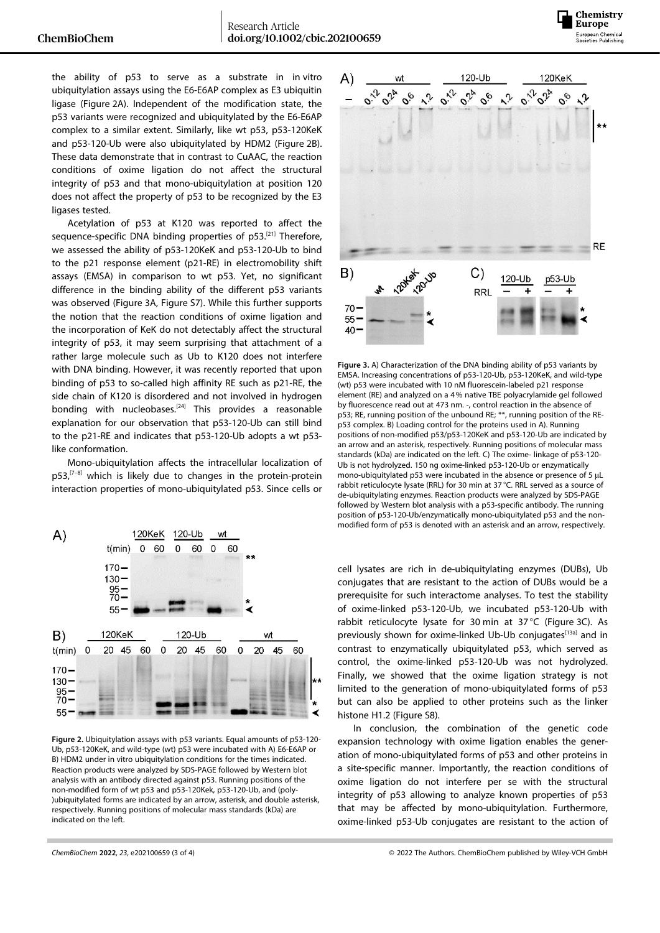

the ability of p53 to serve as a substrate in in vitro ubiquitylation assays using the E6-E6AP complex as E3 ubiquitin ligase (Figure 2A). Independent of the modification state, the p53 variants were recognized and ubiquitylated by the E6-E6AP complex to a similar extent. Similarly, like wt p53, p53-120KeK and p53-120-Ub were also ubiquitylated by HDM2 (Figure 2B). These data demonstrate that in contrast to CuAAC, the reaction conditions of oxime ligation do not affect the structural integrity of p53 and that mono-ubiquitylation at position 120 does not affect the property of p53 to be recognized by the E3 ligases tested.

Acetylation of p53 at K120 was reported to affect the sequence-specific DNA binding properties of p53.<sup>[21]</sup> Therefore, we assessed the ability of p53-120KeK and p53-120-Ub to bind to the p21 response element (p21-RE) in electromobility shift assays (EMSA) in comparison to wt p53. Yet, no significant difference in the binding ability of the different p53 variants was observed (Figure 3A, Figure S7). While this further supports the notion that the reaction conditions of oxime ligation and the incorporation of KeK do not detectably affect the structural integrity of p53, it may seem surprising that attachment of a rather large molecule such as Ub to K120 does not interfere with DNA binding. However, it was recently reported that upon binding of p53 to so-called high affinity RE such as p21-RE, the side chain of K120 is disordered and not involved in hydrogen bonding with nucleobases.<sup>[24]</sup> This provides a reasonable explanation for our observation that p53-120-Ub can still bind to the p21-RE and indicates that p53-120-Ub adopts a wt p53 like conformation.

Mono-ubiquitylation affects the intracellular localization of  $p53$ ,<sup> $[7-8]$ </sup> which is likely due to changes in the protein-protein interaction properties of mono-ubiquitylated p53. Since cells or



**Figure 2.** Ubiquitylation assays with p53 variants. Equal amounts of p53-120- Ub, p53-120KeK, and wild-type (wt) p53 were incubated with A) E6-E6AP or B) HDM2 under in vitro ubiquitylation conditions for the times indicated. Reaction products were analyzed by SDS-PAGE followed by Western blot analysis with an antibody directed against p53. Running positions of the non-modified form of wt p53 and p53-120Kek, p53-120-Ub, and (poly- )ubiquitylated forms are indicated by an arrow, asterisk, and double asterisk, respectively. Running positions of molecular mass standards (kDa) are indicated on the left.



**Figure 3.** A) Characterization of the DNA binding ability of p53 variants by EMSA. Increasing concentrations of p53-120-Ub, p53-120KeK, and wild-type (wt) p53 were incubated with 10 nM fluorescein-labeled p21 response element (RE) and analyzed on a 4% native TBE polyacrylamide gel followed by fluorescence read out at 473 nm. -, control reaction in the absence of p53; RE, running position of the unbound RE; \*\*, running position of the REp53 complex. B) Loading control for the proteins used in A). Running positions of non-modified p53/p53-120KeK and p53-120-Ub are indicated by an arrow and an asterisk, respectively. Running positions of molecular mass standards (kDa) are indicated on the left. C) The oxime- linkage of p53-120- Ub is not hydrolyzed. 150 ng oxime-linked p53-120-Ub or enzymatically mono-ubiquitylated p53 were incubated in the absence or presence of 5 μL rabbit reticulocyte lysate (RRL) for 30 min at 37 °C. RRL served as a source of de-ubiquitylating enzymes. Reaction products were analyzed by SDS-PAGE followed by Western blot analysis with a p53-specific antibody. The running position of p53-120-Ub/enzymatically mono-ubiquitylated p53 and the nonmodified form of p53 is denoted with an asterisk and an arrow, respectively.

cell lysates are rich in de-ubiquitylating enzymes (DUBs), Ub conjugates that are resistant to the action of DUBs would be a prerequisite for such interactome analyses. To test the stability of oxime-linked p53-120-Ub, we incubated p53-120-Ub with rabbit reticulocyte lysate for 30 min at 37°C (Figure 3C). As previously shown for oxime-linked Ub-Ub conjugates<sup>[13a]</sup> and in contrast to enzymatically ubiquitylated p53, which served as control, the oxime-linked p53-120-Ub was not hydrolyzed. Finally, we showed that the oxime ligation strategy is not limited to the generation of mono-ubiquitylated forms of p53 but can also be applied to other proteins such as the linker histone H1.2 (Figure S8).

In conclusion, the combination of the genetic code expansion technology with oxime ligation enables the generation of mono-ubiquitylated forms of p53 and other proteins in a site-specific manner. Importantly, the reaction conditions of oxime ligation do not interfere per se with the structural integrity of p53 allowing to analyze known properties of p53 that may be affected by mono-ubiquitylation. Furthermore, oxime-linked p53-Ub conjugates are resistant to the action of